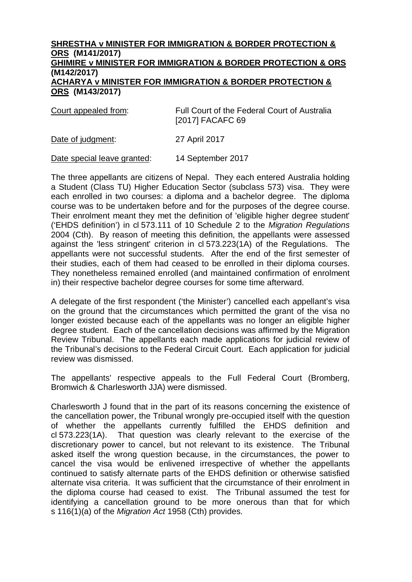## **SHRESTHA v MINISTER FOR IMMIGRATION & BORDER PROTECTION & ORS (M141/2017) GHIMIRE v MINISTER FOR IMMIGRATION & BORDER PROTECTION & ORS (M142/2017) ACHARYA v MINISTER FOR IMMIGRATION & BORDER PROTECTION & ORS (M143/2017)**

| Court appealed from: | Full Court of the Federal Court of Australia<br>[2017] FACAFC 69 |
|----------------------|------------------------------------------------------------------|
| Date of judgment:    | 27 April 2017                                                    |

Date special leave granted: 14 September 2017

The three appellants are citizens of Nepal. They each entered Australia holding a Student (Class TU) Higher Education Sector (subclass 573) visa. They were each enrolled in two courses: a diploma and a bachelor degree. The diploma course was to be undertaken before and for the purposes of the degree course. Their enrolment meant they met the definition of 'eligible higher degree student' ('EHDS definition') in cl 573.111 of 10 Schedule 2 to the *Migration Regulations* 2004 (Cth). By reason of meeting this definition, the appellants were assessed against the 'less stringent' criterion in cl 573.223(1A) of the Regulations. The appellants were not successful students. After the end of the first semester of their studies, each of them had ceased to be enrolled in their diploma courses. They nonetheless remained enrolled (and maintained confirmation of enrolment in) their respective bachelor degree courses for some time afterward.

A delegate of the first respondent ('the Minister') cancelled each appellant's visa on the ground that the circumstances which permitted the grant of the visa no longer existed because each of the appellants was no longer an eligible higher degree student. Each of the cancellation decisions was affirmed by the Migration Review Tribunal. The appellants each made applications for judicial review of the Tribunal's decisions to the Federal Circuit Court. Each application for judicial review was dismissed.

The appellants' respective appeals to the Full Federal Court (Bromberg, Bromwich & Charlesworth JJA) were dismissed.

Charlesworth J found that in the part of its reasons concerning the existence of the cancellation power, the Tribunal wrongly pre-occupied itself with the question of whether the appellants currently fulfilled the EHDS definition and cl 573.223(1A). That question was clearly relevant to the exercise of the discretionary power to cancel, but not relevant to its existence. The Tribunal asked itself the wrong question because, in the circumstances, the power to cancel the visa would be enlivened irrespective of whether the appellants continued to satisfy alternate parts of the EHDS definition or otherwise satisfied alternate visa criteria. It was sufficient that the circumstance of their enrolment in the diploma course had ceased to exist. The Tribunal assumed the test for identifying a cancellation ground to be more onerous than that for which s 116(1)(a) of the *Migration Act* 1958 (Cth) provides.